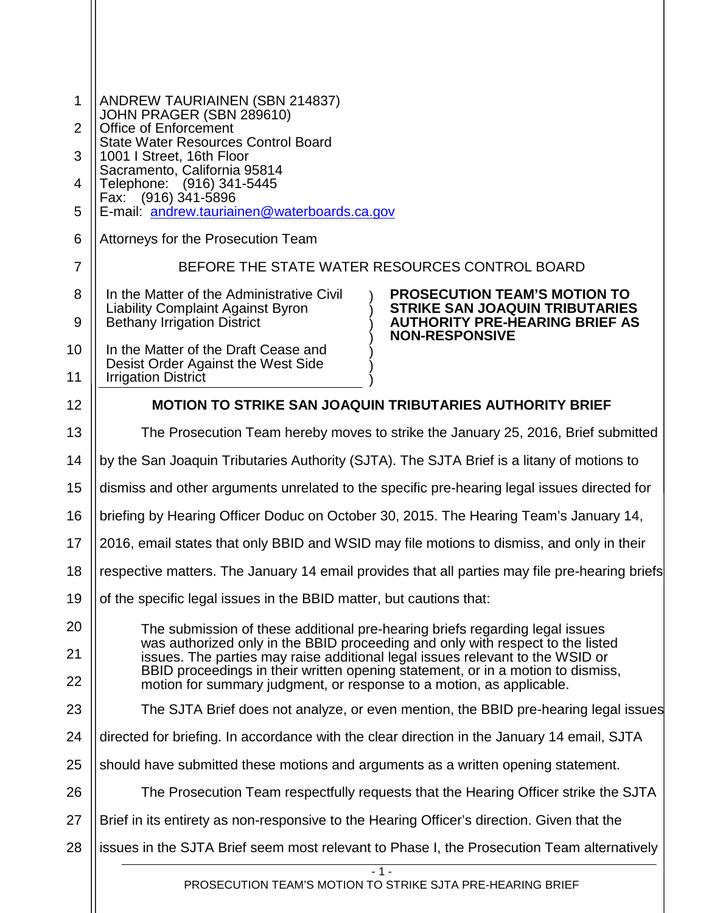| 1              | <b>ANDREW TAURIAINEN (SBN 214837)</b>                                                                                                                          |                                                                                                                                                |  |
|----------------|----------------------------------------------------------------------------------------------------------------------------------------------------------------|------------------------------------------------------------------------------------------------------------------------------------------------|--|
| 2              | JOHN PRAGER (SBN 289610)<br>Office of Enforcement                                                                                                              |                                                                                                                                                |  |
| 3              | <b>State Water Resources Control Board</b><br>1001   Street, 16th Floor                                                                                        |                                                                                                                                                |  |
| 4              | Sacramento, California 95814<br>Telephone: (916) 341-5445                                                                                                      |                                                                                                                                                |  |
| 5              | Fax: (916) 341-5896<br>E-mail: andrew.tauriainen@waterboards.ca.gov                                                                                            |                                                                                                                                                |  |
| 6              | Attorneys for the Prosecution Team                                                                                                                             |                                                                                                                                                |  |
| $\overline{7}$ | BEFORE THE STATE WATER RESOURCES CONTROL BOARD                                                                                                                 |                                                                                                                                                |  |
| 8              | In the Matter of the Administrative Civil<br><b>Liability Complaint Against Byron</b>                                                                          | <b>PROSECUTION TEAM'S MOTION TO</b><br><b>STRIKE SAN JOAQUIN TRIBUTARIES</b><br><b>AUTHORITY PRE-HEARING BRIEF AS</b><br><b>NON-RESPONSIVE</b> |  |
| 9              | <b>Bethany Irrigation District</b>                                                                                                                             |                                                                                                                                                |  |
| 10             | In the Matter of the Draft Cease and<br>Desist Order Against the West Side                                                                                     |                                                                                                                                                |  |
| 11             | <b>Irrigation District</b>                                                                                                                                     |                                                                                                                                                |  |
| 12             | <b>MOTION TO STRIKE SAN JOAQUIN TRIBUTARIES AUTHORITY BRIEF</b>                                                                                                |                                                                                                                                                |  |
| 13             | The Prosecution Team hereby moves to strike the January 25, 2016, Brief submitted                                                                              |                                                                                                                                                |  |
| 14             | by the San Joaquin Tributaries Authority (SJTA). The SJTA Brief is a litany of motions to                                                                      |                                                                                                                                                |  |
| 15             | dismiss and other arguments unrelated to the specific pre-hearing legal issues directed for                                                                    |                                                                                                                                                |  |
| 16             | briefing by Hearing Officer Doduc on October 30, 2015. The Hearing Team's January 14,                                                                          |                                                                                                                                                |  |
| 17             | 2016, email states that only BBID and WSID may file motions to dismiss, and only in their                                                                      |                                                                                                                                                |  |
| 18             | respective matters. The January 14 email provides that all parties may file pre-hearing briefs                                                                 |                                                                                                                                                |  |
| 19             | of the specific legal issues in the BBID matter, but cautions that:                                                                                            |                                                                                                                                                |  |
| 20             | The submission of these additional pre-hearing briefs regarding legal issues<br>was authorized only in the BBID proceeding and only with respect to the listed |                                                                                                                                                |  |
| 21             | issues. The parties may raise additional legal issues relevant to the WSID or                                                                                  |                                                                                                                                                |  |
| 22             | BBID proceedings in their written opening statement, or in a motion to dismiss,<br>motion for summary judgment, or response to a motion, as applicable.        |                                                                                                                                                |  |
| 23             | The SJTA Brief does not analyze, or even mention, the BBID pre-hearing legal issues                                                                            |                                                                                                                                                |  |
| 24             | directed for briefing. In accordance with the clear direction in the January 14 email, SJTA                                                                    |                                                                                                                                                |  |
| 25             | should have submitted these motions and arguments as a written opening statement.                                                                              |                                                                                                                                                |  |
| 26             | The Prosecution Team respectfully requests that the Hearing Officer strike the SJTA                                                                            |                                                                                                                                                |  |
| 27             | Brief in its entirety as non-responsive to the Hearing Officer's direction. Given that the                                                                     |                                                                                                                                                |  |
| 28             | issues in the SJTA Brief seem most relevant to Phase I, the Prosecution Team alternatively                                                                     |                                                                                                                                                |  |
|                | $-1-$                                                                                                                                                          |                                                                                                                                                |  |

 $\mathbf{I}$ 

PROSECUTION TEAM'S MOTION TO STRIKE SJTA PRE-HEARING BRIEF